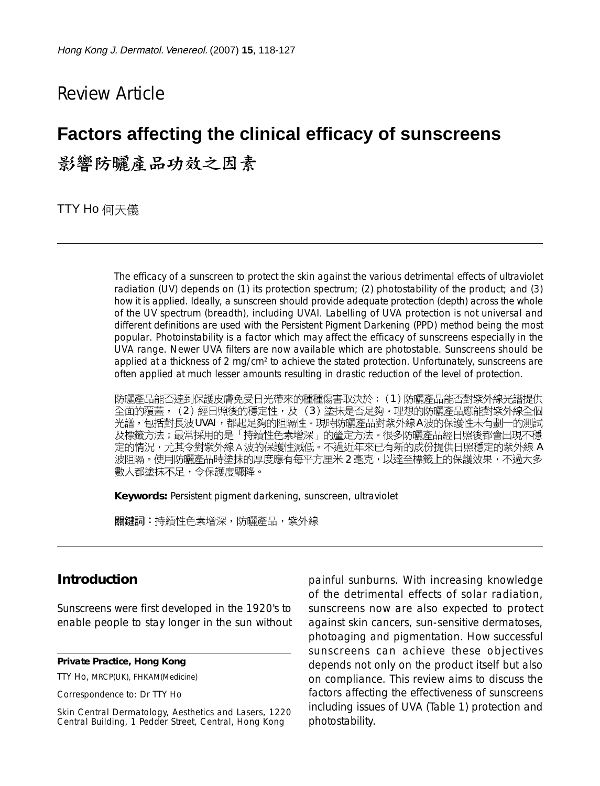# Review Article

# **Factors affecting the clinical efficacy of sunscreens** 影響防曬產品功效之因素

**TTY Ho** 何天儀

The efficacy of a sunscreen to protect the skin against the various detrimental effects of ultraviolet radiation (UV) depends on (1) its protection spectrum; (2) photostability of the product; and (3) how it is applied. Ideally, a sunscreen should provide adequate protection (depth) across the whole of the UV spectrum (breadth), including UVAI. Labelling of UVA protection is not universal and different definitions are used with the Persistent Pigment Darkening (PPD) method being the most popular. Photoinstability is a factor which may affect the efficacy of sunscreens especially in the UVA range. Newer UVA filters are now available which are photostable. Sunscreens should be applied at a thickness of 2 mg/cm<sup>2</sup> to achieve the stated protection. Unfortunately, sunscreens are often applied at much lesser amounts resulting in drastic reduction of the level of protection.

防曬產品能否達到保護皮膚免受日光帶來的種種傷害取決於: (1)防曬產品能否對紫外線光譜提供 全面的覆蓋,(2)經日照後的穩定性,及(3)塗抹是否足夠。理想的防曬產品應能對紫外線全個 光譜,包括對長波UVAI ,都起足夠的阻隔性。現時防曬產品對紫外線A波的保護性未有劃一的測試<br>及標籤方法;最常採用的是「持續性色素增深」的釐定方法。很多防曬產品經日照後都會出現不穩 定的情況,尤其令對紫外線 A 波的保護性減低。不過近年來已有新的成份提供日照穩定的紫外線 A 波阻隔。使用防曬產品時塗抹的厚度應有每平方厘米2毫克,以達至標籤上的保護效果,不過大多 數人都塗抹不足,令保護度驟降。

**Keywords:** Persistent pigment darkening, sunscreen, ultraviolet

關鍵詞:持續性色素增深,防曬產品,紫外線

## **Introduction**

Sunscreens were first developed in the 1920's to enable people to stay longer in the sun without

**Private Practice, Hong Kong**

TTY Ho, MRCP(UK), FHKAM(Medicine)

Correspondence to: Dr TTY Ho

Skin Central Dermatology, Aesthetics and Lasers, 1220 Central Building, 1 Pedder Street, Central, Hong Kong

painful sunburns. With increasing knowledge of the detrimental effects of solar radiation, sunscreens now are also expected to protect against skin cancers, sun-sensitive dermatoses, photoaging and pigmentation. How successful sunscreens can achieve these objectives depends not only on the product itself but also on compliance. This review aims to discuss the factors affecting the effectiveness of sunscreens including issues of UVA (Table 1) protection and photostability.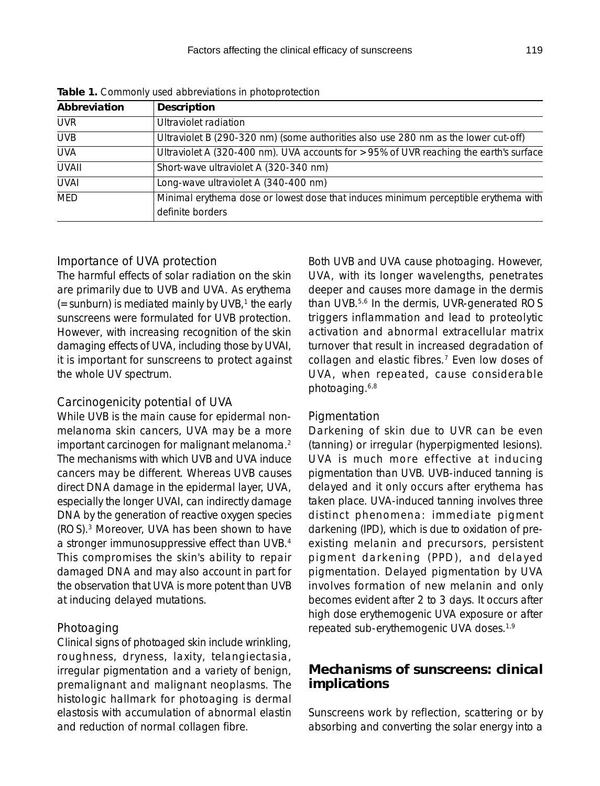| Abbreviation | Description                                                                           |  |  |  |
|--------------|---------------------------------------------------------------------------------------|--|--|--|
| <b>UVR</b>   | Ultraviolet radiation                                                                 |  |  |  |
| <b>UVB</b>   | Ultraviolet B (290-320 nm) (some authorities also use 280 nm as the lower cut-off)    |  |  |  |
| <b>UVA</b>   | Ultraviolet A (320-400 nm). UVA accounts for >95% of UVR reaching the earth's surface |  |  |  |
| <b>UVAII</b> | Short-wave ultraviolet A (320-340 nm)                                                 |  |  |  |
| <b>UVAI</b>  | Long-wave ultraviolet A (340-400 nm)                                                  |  |  |  |
| MED          | Minimal erythema dose or lowest dose that induces minimum perceptible erythema with   |  |  |  |
|              | definite borders                                                                      |  |  |  |

**Table 1.** Commonly used abbreviations in photoprotection

#### *Importance of UVA protection*

The harmful effects of solar radiation on the skin are primarily due to UVB and UVA. As erythema  $($ =sunburn) is mediated mainly by UVB, $<sup>1</sup>$  the early</sup> sunscreens were formulated for UVB protection. However, with increasing recognition of the skin damaging effects of UVA, including those by UVAI, it is important for sunscreens to protect against the whole UV spectrum.

#### *Carcinogenicity potential of UVA*

While UVB is the main cause for epidermal nonmelanoma skin cancers, UVA may be a more important carcinogen for malignant melanoma.<sup>2</sup> The mechanisms with which UVB and UVA induce cancers may be different. Whereas UVB causes direct DNA damage in the epidermal layer, UVA, especially the longer UVAI, can indirectly damage DNA by the generation of reactive oxygen species (ROS).3 Moreover, UVA has been shown to have a stronger immunosuppressive effect than UVB.4 This compromises the skin's ability to repair damaged DNA and may also account in part for the observation that UVA is more potent than UVB at inducing delayed mutations.

#### *Photoaging*

Clinical signs of photoaged skin include wrinkling, roughness, dryness, laxity, telangiectasia, irregular pigmentation and a variety of benign, premalignant and malignant neoplasms. The histologic hallmark for photoaging is dermal elastosis with accumulation of abnormal elastin and reduction of normal collagen fibre.

Both UVB and UVA cause photoaging. However, UVA, with its longer wavelengths, penetrates deeper and causes more damage in the dermis than UVB.5,6 In the dermis, UVR-generated ROS triggers inflammation and lead to proteolytic activation and abnormal extracellular matrix turnover that result in increased degradation of collagen and elastic fibres.7 Even low doses of UVA, when repeated, cause considerable photoaging.6,8

#### *Pigmentation*

Darkening of skin due to UVR can be even (tanning) or irregular (hyperpigmented lesions). UVA is much more effective at inducing pigmentation than UVB. UVB-induced tanning is delayed and it only occurs after erythema has taken place. UVA-induced tanning involves three distinct phenomena: immediate pigment darkening (IPD), which is due to oxidation of preexisting melanin and precursors, persistent pigment darkening (PPD), and delayed pigmentation. Delayed pigmentation by UVA involves formation of new melanin and only becomes evident after 2 to 3 days. It occurs after high dose erythemogenic UVA exposure or after repeated sub-erythemogenic UVA doses.1,9

## **Mechanisms of sunscreens: clinical implications**

Sunscreens work by reflection, scattering or by absorbing and converting the solar energy into a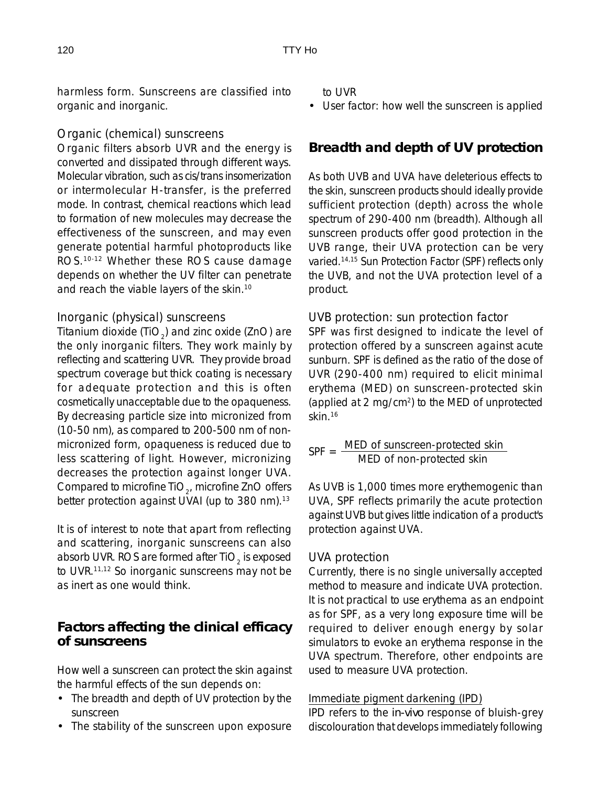harmless form. Sunscreens are classified into organic and inorganic.

## *Organic (chemical) sunscreens*

Organic filters absorb UVR and the energy is converted and dissipated through different ways. Molecular vibration, such as cis/trans insomerization or intermolecular H-transfer, is the preferred mode. In contrast, chemical reactions which lead to formation of new molecules may decrease the effectiveness of the sunscreen, and may even generate potential harmful photoproducts like ROS.10-12 Whether these ROS cause damage depends on whether the UV filter can penetrate and reach the viable layers of the skin.10

## *Inorganic (physical) sunscreens*

Titanium dioxide (TiO<sub>2</sub>) and zinc oxide (ZnO) are the only inorganic filters. They work mainly by reflecting and scattering UVR. They provide broad spectrum coverage but thick coating is necessary for adequate protection and this is often cosmetically unacceptable due to the opaqueness. By decreasing particle size into micronized from (10-50 nm), as compared to 200-500 nm of nonmicronized form, opaqueness is reduced due to less scattering of light. However, micronizing decreases the protection against longer UVA. Compared to microfine TiO<sub>2</sub>, microfine ZnO offers better protection against UVAI (up to 380 nm).<sup>13</sup>

It is of interest to note that apart from reflecting and scattering, inorganic sunscreens can also absorb UVR. ROS are formed after TiO<sub>2</sub> is exposed to UVR.11,12 So inorganic sunscreens may not be as inert as one would think.

## **Factors affecting the clinical efficacy of sunscreens**

How well a sunscreen can protect the skin against the harmful effects of the sun depends on:

- The breadth and depth of UV protection by the sunscreen
- The stability of the sunscreen upon exposure

to UVR

• User factor: how well the sunscreen is applied

# **Breadth and depth of UV protection**

As both UVB and UVA have deleterious effects to the skin, sunscreen products should ideally provide sufficient protection (depth) across the whole spectrum of 290-400 nm (breadth). Although all sunscreen products offer good protection in the UVB range, their UVA protection can be very varied.14,15 Sun Protection Factor (SPF) reflects only the UVB, and not the UVA protection level of a product.

## *UVB protection: sun protection factor*

SPF was first designed to indicate the level of protection offered by a sunscreen against acute sunburn. SPF is defined as the ratio of the dose of UVR (290-400 nm) required to elicit minimal erythema (MED) on sunscreen-protected skin (applied at 2 mg/cm2) to the MED of unprotected skin.16

SPF = MED of sunscreen-protected skin MED of non-protected skin

As UVB is 1,000 times more erythemogenic than UVA, SPF reflects primarily the acute protection against UVB but gives little indication of a product's protection against UVA.

## *UVA protection*

Currently, there is no single universally accepted method to measure and indicate UVA protection. It is not practical to use erythema as an endpoint as for SPF, as a very long exposure time will be required to deliver enough energy by solar simulators to evoke an erythema response in the UVA spectrum. Therefore, other endpoints are used to measure UVA protection.

## Immediate pigment darkening (IPD)

IPD refers to the *in-vivo* response of bluish-grey discolouration that develops immediately following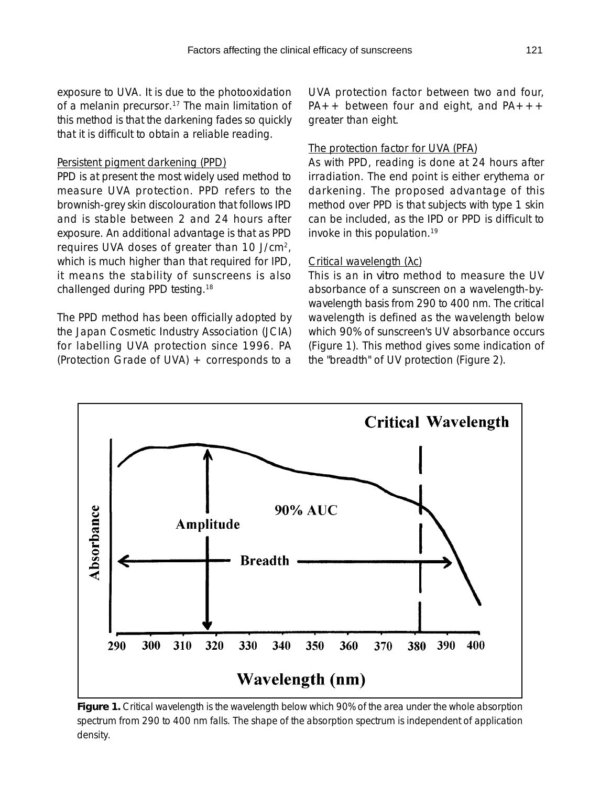exposure to UVA. It is due to the photooxidation of a melanin precursor.<sup>17</sup> The main limitation of this method is that the darkening fades so quickly that it is difficult to obtain a reliable reading.

#### Persistent pigment darkening (PPD)

PPD is at present the most widely used method to measure UVA protection. PPD refers to the brownish-grey skin discolouration that follows IPD and is stable between 2 and 24 hours after exposure. An additional advantage is that as PPD requires UVA doses of greater than 10 J/cm2, which is much higher than that required for IPD, it means the stability of sunscreens is also challenged during PPD testing.18

The PPD method has been officially adopted by the Japan Cosmetic Industry Association (JCIA) for labelling UVA protection since 1996. PA (Protection Grade of UVA) + corresponds to a UVA protection factor between two and four,  $PA++$  between four and eight, and  $PA+++$ greater than eight.

#### The protection factor for UVA (PFA)

As with PPD, reading is done at 24 hours after irradiation. The end point is either erythema or darkening. The proposed advantage of this method over PPD is that subjects with type 1 skin can be included, as the IPD or PPD is difficult to invoke in this population.19

#### Critical wavelength (λc)

This is an *in vitro* method to measure the UV absorbance of a sunscreen on a wavelength-bywavelength basis from 290 to 400 nm. The critical wavelength is defined as the wavelength below which 90% of sunscreen's UV absorbance occurs (Figure 1). This method gives some indication of the "breadth" of UV protection (Figure 2).



**Figure 1.** Critical wavelength is the wavelength below which 90% of the area under the whole absorption spectrum from 290 to 400 nm falls. The shape of the absorption spectrum is independent of application density.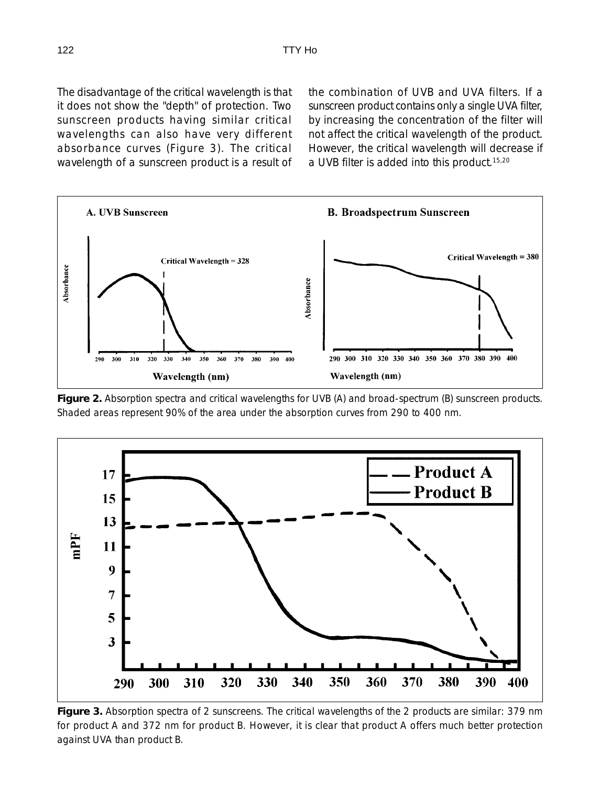The disadvantage of the critical wavelength is that it does not show the "depth" of protection. Two sunscreen products having similar critical wavelengths can also have very different absorbance curves (Figure 3). The critical wavelength of a sunscreen product is a result of the combination of UVB and UVA filters. If a sunscreen product contains only a single UVA filter, by increasing the concentration of the filter will not affect the critical wavelength of the product. However, the critical wavelength will decrease if a UVB filter is added into this product.15,20



**Figure 2.** Absorption spectra and critical wavelengths for UVB (A) and broad-spectrum (B) sunscreen products. Shaded areas represent 90% of the area under the absorption curves from 290 to 400 nm.



**Figure 3.** Absorption spectra of 2 sunscreens. The critical wavelengths of the 2 products are similar: 379 nm for product A and 372 nm for product B. However, it is clear that product A offers much better protection against UVA than product B.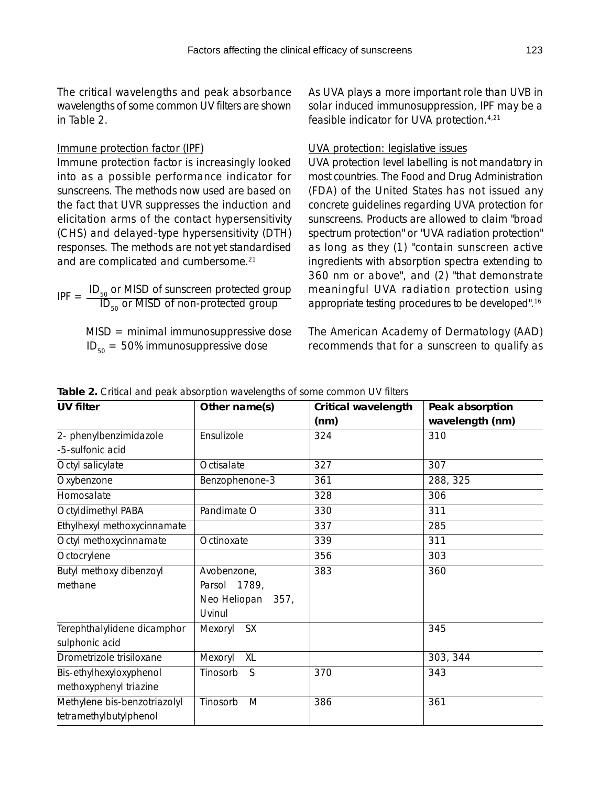The critical wavelengths and peak absorbance wavelengths of some common UV filters are shown in Table 2.

#### Immune protection factor (IPF)

Immune protection factor is increasingly looked into as a possible performance indicator for sunscreens. The methods now used are based on the fact that UVR suppresses the induction and elicitation arms of the contact hypersensitivity (CHS) and delayed-type hypersensitivity (DTH) responses. The methods are not yet standardised and are complicated and cumbersome.<sup>21</sup>

 $IPF = \frac{ID_{50}}{ID}$  or MISD of sunscreen protected group  $\text{ID}_{50}$  or MISD of non-protected group

> $MISD = minimal immunosuppressive dose$  $ID_{50} = 50\%$  immunosuppressive dose

As UVA plays a more important role than UVB in solar induced immunosuppression, IPF may be a feasible indicator for UVA protection.4,21

#### UVA protection: legislative issues

UVA protection level labelling is not mandatory in most countries. The Food and Drug Administration (FDA) of the United States has not issued any concrete guidelines regarding UVA protection for sunscreens. Products are allowed to claim "broad spectrum protection" or "UVA radiation protection" as long as they (1) "contain sunscreen active ingredients with absorption spectra extending to 360 nm or above", and (2) "that demonstrate meaningful UVA radiation protection using appropriate testing procedures to be developed".16

The American Academy of Dermatology (AAD) recommends that for a sunscreen to qualify as

|  |  | Table 2. Critical and peak absorption wavelengths of some common UV filters |  |
|--|--|-----------------------------------------------------------------------------|--|
|  |  |                                                                             |  |

| <b>UV filter</b>                              | Other name(s)           | Critical wavelength | Peak absorption |
|-----------------------------------------------|-------------------------|---------------------|-----------------|
|                                               |                         | (nm)                | wavelength (nm) |
| 2- phenylbenzimidazole                        | Ensulizole              | 324                 | 310             |
| -5-sulfonic acid                              |                         |                     |                 |
| Octyl salicylate                              | Octisalate              | 327                 | 307             |
| Oxybenzone                                    | Benzophenone-3          | 361                 | 288, 325        |
| Homosalate                                    |                         | 328                 | 306             |
| Octyldimethyl PABA                            | Pandimate O             | 330                 | 311             |
| Ethylhexyl methoxycinnamate                   |                         | 337                 | 285             |
| Octyl methoxycinnamate                        | Octinoxate              | 339                 | 311             |
| Octocrylene                                   |                         | 356                 | 303             |
| Butyl methoxy dibenzoyl                       | Avobenzone,             | 383                 | 360             |
| methane                                       | Parsol® 1789,           |                     |                 |
|                                               | Neo Heliopan® 357,      |                     |                 |
|                                               | <b>Uvinul®</b>          |                     |                 |
| Terephthalylidene dicamphor<br>sulphonic acid | Mexoryl <sup>®</sup> SX |                     | 345             |
| Drometrizole trisiloxane                      | Mexoryl <sup>®</sup> XL |                     | 303, 344        |
| Bis-ethylhexyloxyphenol                       | Tinosorb <sup>®</sup> S | 370                 | 343             |
| methoxyphenyl triazine                        |                         |                     |                 |
| Methylene bis-benzotriazolyl                  | Tinosorb <sup>®</sup> M | 386                 | 361             |
| tetramethylbutylphenol                        |                         |                     |                 |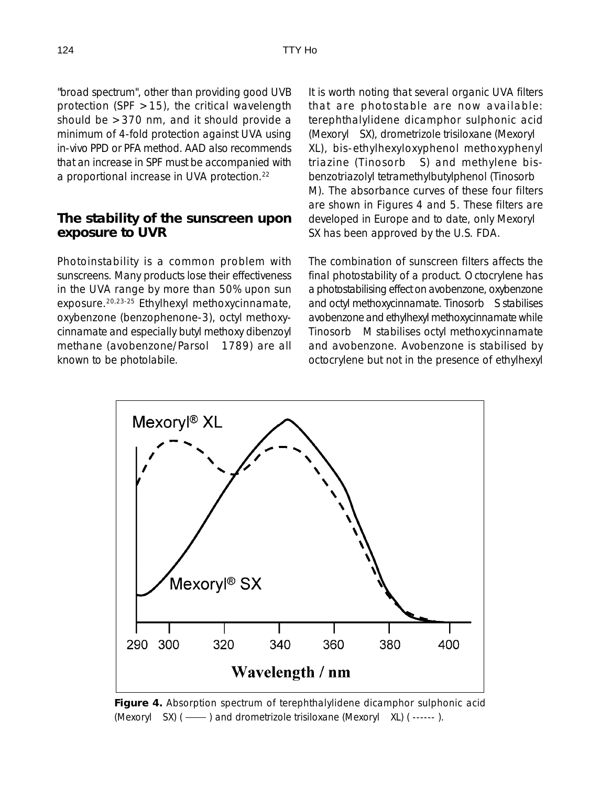"broad spectrum", other than providing good UVB protection (SPF  $>15$ ), the critical wavelength should be >370 nm, and it should provide a minimum of 4-fold protection against UVA using in-vivo PPD or PFA method. AAD also recommends that an increase in SPF must be accompanied with a proportional increase in UVA protection.<sup>22</sup>

## **The stability of the sunscreen upon exposure to UVR**

Photoinstability is a common problem with sunscreens. Many products lose their effectiveness in the UVA range by more than 50% upon sun exposure.20,23-25 Ethylhexyl methoxycinnamate, oxybenzone (benzophenone-3), octyl methoxycinnamate and especially butyl methoxy dibenzoyl methane (avobenzone/Parsol® 1789) are all known to be photolabile.

It is worth noting that several organic UVA filters that are photostable are now available: terephthalylidene dicamphor sulphonic acid (Mexoryl® SX), drometrizole trisiloxane (Mexoryl® XL), bis-ethylhexyloxyphenol methoxyphenyl triazine (Tinosorb $\circledast$  S) and methylene bisbenzotriazolyl tetramethylbutylphenol (Tinosorb M). The absorbance curves of these four filters are shown in Figures 4 and 5. These filters are developed in Europe and to date, only Mexoryl SX has been approved by the U.S. FDA.

The combination of sunscreen filters affects the final photostability of a product. Octocrylene has a photostabilising effect on avobenzone, oxybenzone and octyl methoxycinnamate. Tinosorb<sup>®</sup> S stabilises avobenzone and ethylhexyl methoxycinnamate while Tinosorb® M stabilises octyl methoxycinnamate and avobenzone. Avobenzone is stabilised by octocrylene but not in the presence of ethylhexyl



**Figure 4.** Absorption spectrum of terephthalylidene dicamphor sulphonic acid (Mexoryl $\circledR$  SX) (  $\longrightarrow$  ) and drometrizole trisiloxane (Mexoryl $\circledR$  XL) ( ------ ).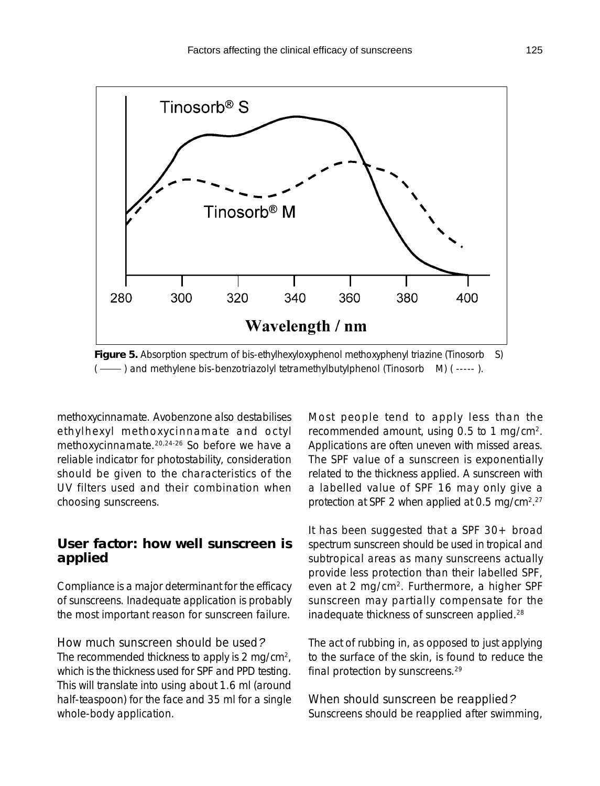

( - ) and methylene bis-benzotriazolyl tetramethylbutylphenol (Tinosorb ® M) ( -----).

methoxycinnamate. Avobenzone also destabilises ethylhexyl methoxycinnamate and octyl methoxycinnamate.20,24-26 So before we have a reliable indicator for photostability, consideration should be given to the characteristics of the UV filters used and their combination when choosing sunscreens.

## **User factor: how well sunscreen is applied**

Compliance is a major determinant for the efficacy of sunscreens. Inadequate application is probably the most important reason for sunscreen failure.

#### *How much sunscreen should be used*?

The recommended thickness to apply is 2 mg/cm<sup>2</sup>, which is the thickness used for SPF and PPD testing. This will translate into using about 1.6 ml (around half-teaspoon) for the face and 35 ml for a single whole-body application.

Most people tend to apply less than the recommended amount, using 0.5 to 1 mg/cm2. Applications are often uneven with missed areas. The SPF value of a sunscreen is exponentially related to the thickness applied. A sunscreen with a labelled value of SPF 16 may only give a protection at SPF 2 when applied at 0.5 mg/cm<sup>2,27</sup>

It has been suggested that a SPF 30+ broad spectrum sunscreen should be used in tropical and subtropical areas as many sunscreens actually provide less protection than their labelled SPF, even at 2 mg/cm2. Furthermore, a higher SPF sunscreen may partially compensate for the inadequate thickness of sunscreen applied.28

The act of rubbing in, as opposed to just applying to the surface of the skin, is found to reduce the final protection by sunscreens.29

*When should sunscreen be reapplied*? Sunscreens should be reapplied after swimming,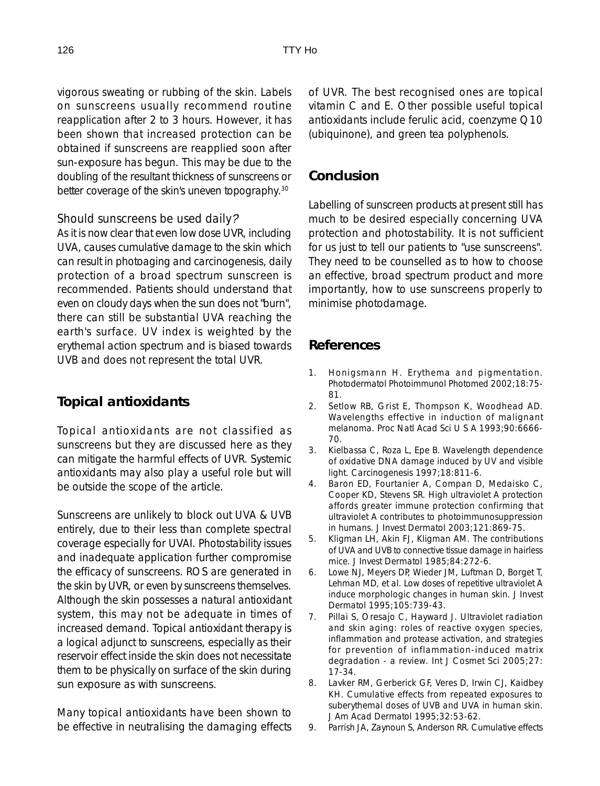vigorous sweating or rubbing of the skin. Labels on sunscreens usually recommend routine reapplication after 2 to 3 hours. However, it has been shown that increased protection can be obtained if sunscreens are reapplied soon after sun-exposure has begun. This may be due to the doubling of the resultant thickness of sunscreens or better coverage of the skin's uneven topography.30

#### *Should sunscreens be used daily*?

As it is now clear that even low dose UVR, including UVA, causes cumulative damage to the skin which can result in photoaging and carcinogenesis, daily protection of a broad spectrum sunscreen is recommended. Patients should understand that even on cloudy days when the sun does not "burn", there can still be substantial UVA reaching the earth's surface. UV index is weighted by the erythemal action spectrum and is biased towards UVB and does not represent the total UVR.

## **Topical antioxidants**

Topical antioxidants are not classified as sunscreens but they are discussed here as they can mitigate the harmful effects of UVR. Systemic antioxidants may also play a useful role but will be outside the scope of the article.

Sunscreens are unlikely to block out UVA & UVB entirely, due to their less than complete spectral coverage especially for UVAI. Photostability issues and inadequate application further compromise the efficacy of sunscreens. ROS are generated in the skin by UVR, or even by sunscreens themselves. Although the skin possesses a natural antioxidant system, this may not be adequate in times of increased demand. Topical antioxidant therapy is a logical adjunct to sunscreens, especially as their reservoir effect inside the skin does not necessitate them to be physically on surface of the skin during sun exposure as with sunscreens.

Many topical antioxidants have been shown to be effective in neutralising the damaging effects of UVR. The best recognised ones are topical vitamin C and E. Other possible useful topical antioxidants include ferulic acid, coenzyme Q10 (ubiquinone), and green tea polyphenols.

## **Conclusion**

Labelling of sunscreen products at present still has much to be desired especially concerning UVA protection and photostability. It is not sufficient for us just to tell our patients to "use sunscreens". They need to be counselled as to how to choose an effective, broad spectrum product and more importantly, how to use sunscreens properly to minimise photodamage.

#### **References**

- 1. Honigsmann H. Erythema and pigmentation. Photodermatol Photoimmunol Photomed 2002;18:75- 81.
- 2. Setlow RB, Grist E, Thompson K, Woodhead AD. Wavelengths effective in induction of malignant melanoma. Proc Natl Acad Sci U S A 1993;90:6666- 70.
- 3. Kielbassa C, Roza L, Epe B. Wavelength dependence of oxidative DNA damage induced by UV and visible light. Carcinogenesis 1997;18:811-6.
- 4. Baron ED, Fourtanier A, Compan D, Medaisko C, Cooper KD, Stevens SR. High ultraviolet A protection affords greater immune protection confirming that ultraviolet A contributes to photoimmunosuppression in humans. J Invest Dermatol 2003;121:869-75.
- 5. Kligman LH, Akin FJ, Kligman AM. The contributions of UVA and UVB to connective tissue damage in hairless mice. J Invest Dermatol 1985;84:272-6.
- 6. Lowe NJ, Meyers DP, Wieder JM, Luftman D, Borget T, Lehman MD, et al. Low doses of repetitive ultraviolet A induce morphologic changes in human skin. J Invest Dermatol 1995;105:739-43.
- 7. Pillai S, Oresajo C, Hayward J. Ultraviolet radiation and skin aging: roles of reactive oxygen species, inflammation and protease activation, and strategies for prevention of inflammation-induced matrix degradation - a review. Int J Cosmet Sci 2005;27: 17-34.
- 8. Lavker RM, Gerberick GF, Veres D, Irwin CJ, Kaidbey KH. Cumulative effects from repeated exposures to suberythemal doses of UVB and UVA in human skin. J Am Acad Dermatol 1995;32:53-62.
- 9. Parrish JA, Zaynoun S, Anderson RR. Cumulative effects